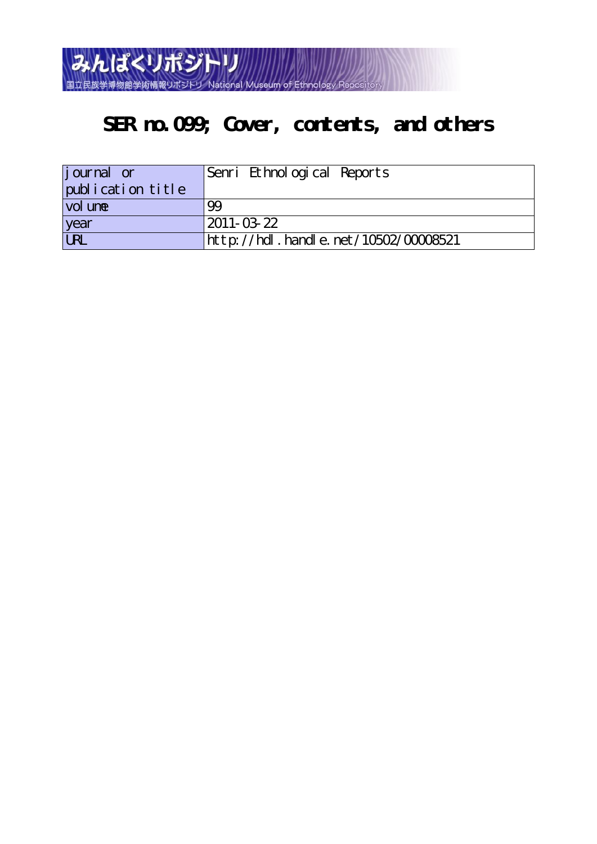

## **SER no.099; Cover, contents, and others**

| journal or             | Senri Ethnological Reports           |
|------------------------|--------------------------------------|
| publication title      |                                      |
| vol une                | 99                                   |
| year                   | $2011 - 03 - 22$                     |
| $\overline{\text{UL}}$ | http://hdl.handle.net/10502/00008521 |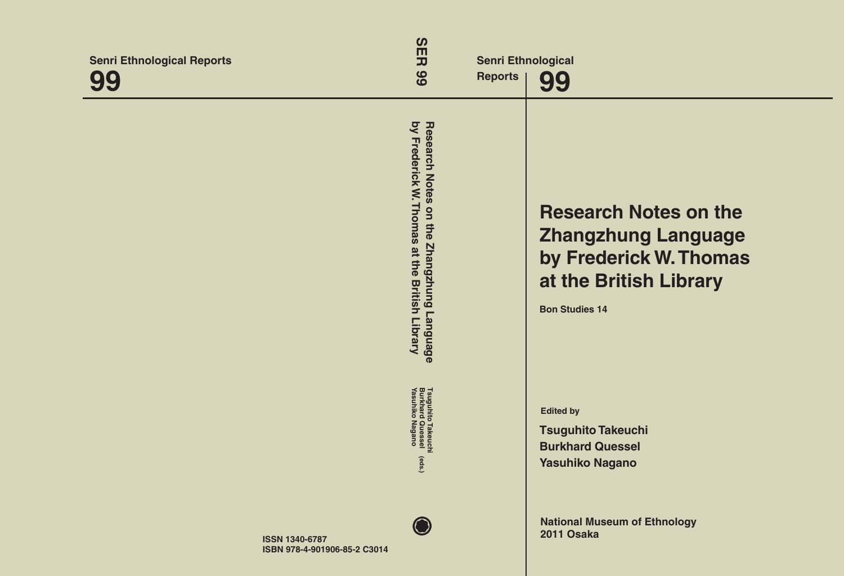| <b>Senri Ethnological Reports</b><br>00               | $\boldsymbol{\omega}$<br>$\mathsf{m}$<br>고<br>66<br><b>Reports</b>                                                   | <b>Senri Ethnological</b><br>99                                                                                                         |
|-------------------------------------------------------|----------------------------------------------------------------------------------------------------------------------|-----------------------------------------------------------------------------------------------------------------------------------------|
|                                                       | by Frederick W. Thomas<br><b>Research Notes</b><br>on the<br>Zhangzhung Language<br>at the<br><b>British Library</b> | <b>Research Notes on the</b><br><b>Zhangzhung Language</b><br>by Frederick W. Thomas<br>at the British Library<br><b>Bon Studies 14</b> |
|                                                       | Tsuguhito Takeuchi<br>Burkhard Quessel<br>Yasuhiko Nagano<br>(eds.)                                                  | <b>Edited by</b><br><b>Tsuguhito Takeuchi</b><br><b>Burkhard Quessel</b><br><b>Yasuhiko Nagano</b>                                      |
| <b>ISSN 1340-6787</b><br>ISBN 978-4-901906-85-2 C3014 |                                                                                                                      | <b>National Museum of Ethnology</b><br>2011 Osaka                                                                                       |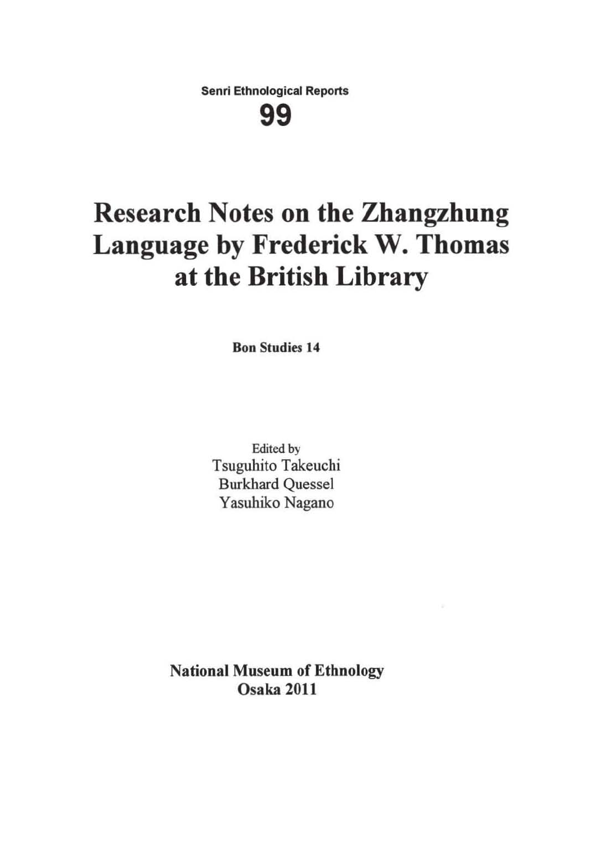**Senri Ethnological Reports** 

**99** 

# **Research Notes on the Zhangzhung Language by Frederick W. Thomas at the British Library**

Bon Studies 14

Edited by Tsuguhito Takeuchi Burkhard Quessel Yasuhiko Nagano

National Museum of Ethnology Osaka 2011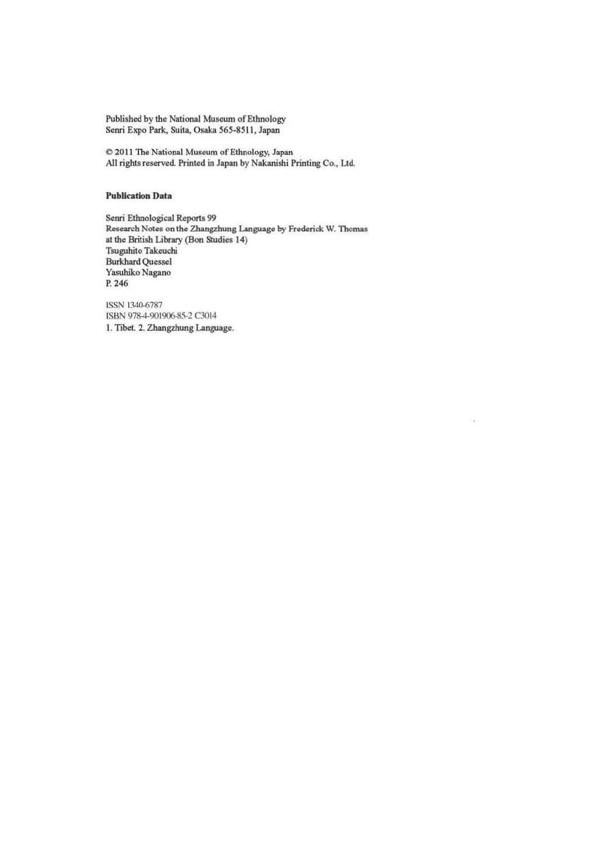Published by the National Museum of Ethnology Senri Expo Park, Suita, Osaka 565-8511, Japan

 $© 2011$  The National Museum of Ethnology, Japan All rights reserved. Printed in Japan by Nakanishi Printing Co., Ltd.

#### **Publication Data**

Senri Ethnological Reports 99 Research Notes on the Zhangzhung Language by Frederick W. Thomas at the British Library (Bon Studies 14) Tsuguhito Takeuchi Burkhard Quesscl Yasuhiko Nagano p. 246

ú

ISSN 1340-6787 ISBN 978-4-901906-85-2 C3014 1. Tibet. 2. Zhangzhung Language.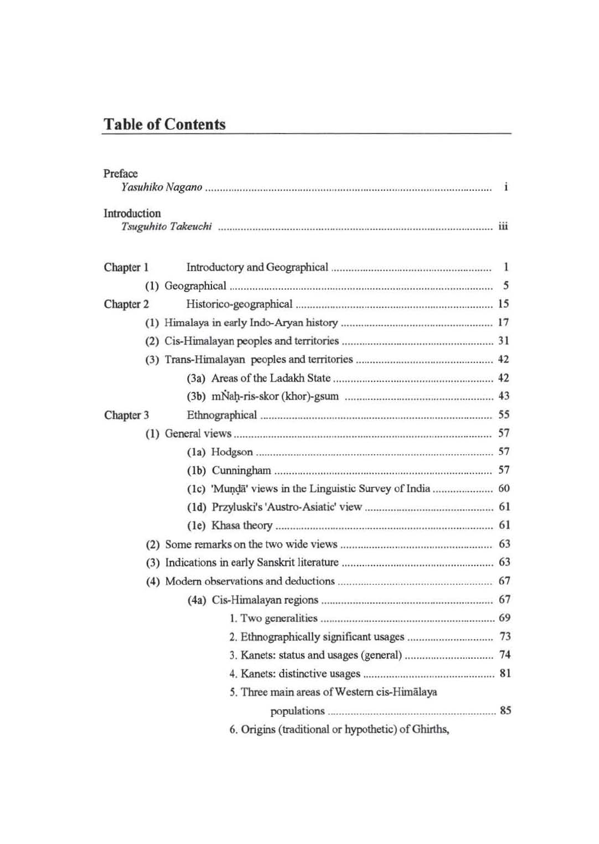## Table of Contents

| Preface      |                                                    | i  |
|--------------|----------------------------------------------------|----|
| Introduction |                                                    |    |
| Chapter 1    |                                                    | -1 |
|              |                                                    |    |
| Chapter 2    |                                                    |    |
|              |                                                    |    |
|              |                                                    |    |
|              |                                                    |    |
|              |                                                    |    |
|              |                                                    |    |
| Chapter 3    |                                                    |    |
|              |                                                    |    |
|              |                                                    |    |
|              |                                                    |    |
|              |                                                    |    |
|              |                                                    |    |
|              |                                                    |    |
|              |                                                    |    |
|              |                                                    |    |
|              |                                                    |    |
|              |                                                    |    |
|              |                                                    |    |
|              |                                                    |    |
|              |                                                    |    |
|              |                                                    |    |
|              | 5. Three main areas of Western cis-Himālaya        |    |
|              |                                                    |    |
|              | 6. Origins (traditional or hypothetic) of Ghirths, |    |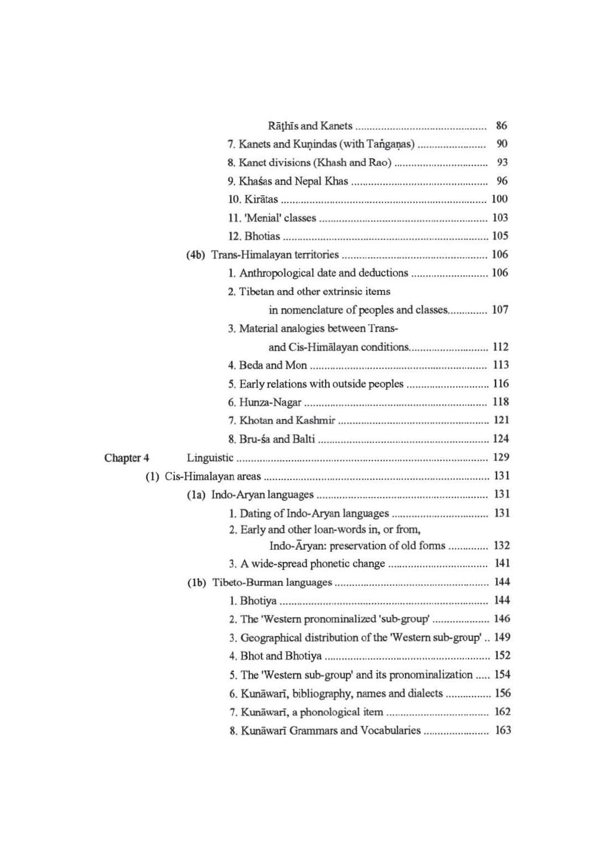|           | 86                                                           |  |
|-----------|--------------------------------------------------------------|--|
|           | 90                                                           |  |
|           | 93                                                           |  |
|           |                                                              |  |
|           |                                                              |  |
|           |                                                              |  |
|           |                                                              |  |
|           |                                                              |  |
|           | 1. Anthropological date and deductions  106                  |  |
|           | 2. Tibetan and other extrinsic items                         |  |
|           | in nomenclature of peoples and classes 107                   |  |
|           | 3. Material analogies between Trans-                         |  |
|           | and Cis-Himalayan conditions 112                             |  |
|           |                                                              |  |
|           | 5. Early relations with outside peoples  116                 |  |
|           |                                                              |  |
|           |                                                              |  |
|           |                                                              |  |
| Chapter 4 |                                                              |  |
|           |                                                              |  |
|           |                                                              |  |
|           |                                                              |  |
|           | 2. Early and other loan-words in, or from,                   |  |
|           | Indo-Aryan: preservation of old forms  132                   |  |
|           |                                                              |  |
|           |                                                              |  |
|           |                                                              |  |
|           | 2. The 'Western pronominalized 'sub-group'  146              |  |
|           | 3. Geographical distribution of the 'Western sub-group'  149 |  |
|           |                                                              |  |
|           | 5. The 'Western sub-group' and its pronominalization  154    |  |
|           | 6. Kunāwarī, bibliography, names and dialects  156           |  |
|           |                                                              |  |
|           | 8. Kunāwarī Grammars and Vocabularies  163                   |  |
|           |                                                              |  |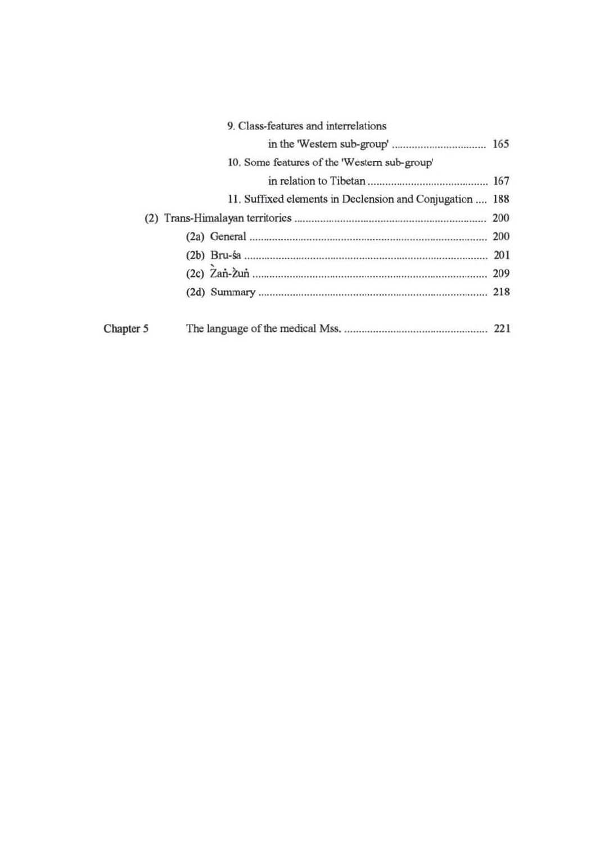| 9. Class-features and interrelations                     |           |  |
|----------------------------------------------------------|-----------|--|
|                                                          |           |  |
| 10. Some features of the 'Western sub-group'             |           |  |
|                                                          |           |  |
| 11. Suffixed elements in Declension and Conjugation  188 |           |  |
| 200                                                      |           |  |
|                                                          |           |  |
|                                                          |           |  |
|                                                          |           |  |
|                                                          |           |  |
|                                                          | Chapter 5 |  |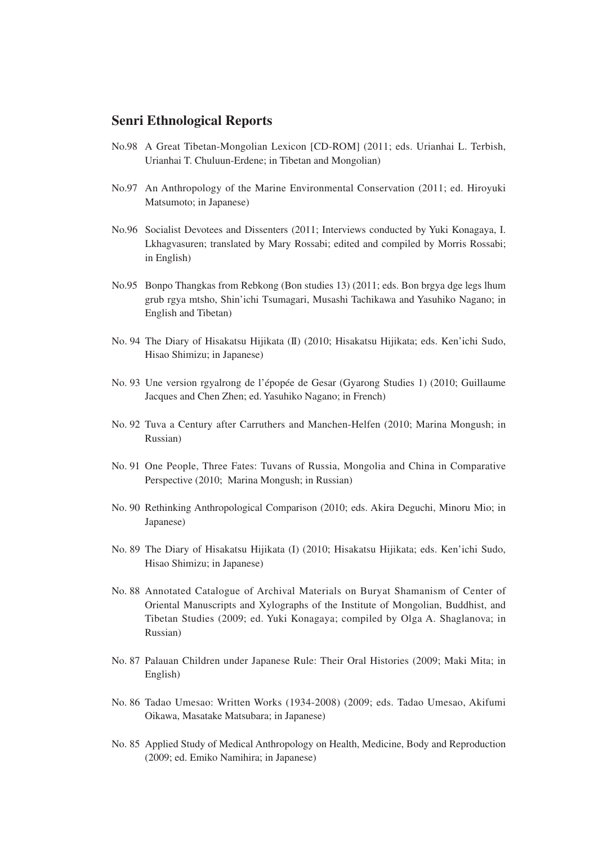### **Senri Ethnological Reports**

- No.98 A Great Tibetan-Mongolian Lexicon [CD-ROM] (2011; eds. Urianhai L. Terbish, Urianhai T. Chuluun-Erdene; in Tibetan and Mongolian)
- No.97 An Anthropology of the Marine Environmental Conservation (2011; ed. Hiroyuki Matsumoto; in Japanese)
- No.96 Socialist Devotees and Dissenters (2011; Interviews conducted by Yuki Konagaya, I. Lkhagvasuren; translated by Mary Rossabi; edited and compiled by Morris Rossabi; in English)
- No.95 Bonpo Thangkas from Rebkong (Bon studies 13) (2011; eds. Bon brgya dge legs lhum grub rgya mtsho, Shin'ichi Tsumagari, Musashi Tachikawa and Yasuhiko Nagano; in English and Tibetan)
- No. 94 The Diary of Hisakatsu Hijikata (II) (2010; Hisakatsu Hijikata; eds. Ken'ichi Sudo, Hisao Shimizu; in Japanese)
- No. 93 Une version rgyalrong de l'épopée de Gesar (Gyarong Studies 1) (2010; Guillaume Jacques and Chen Zhen; ed. Yasuhiko Nagano; in French)
- No. 92 Tuva a Century after Carruthers and Manchen-Helfen (2010; Marina Mongush; in Russian)
- No. 91 One People, Three Fates: Tuvans of Russia, Mongolia and China in Comparative Perspective (2010; Marina Mongush; in Russian)
- No. 90 Rethinking Anthropological Comparison (2010; eds. Akira Deguchi, Minoru Mio; in Japanese)
- No. 89 The Diary of Hisakatsu Hijikata (I) (2010; Hisakatsu Hijikata; eds. Ken'ichi Sudo, Hisao Shimizu; in Japanese)
- No. 88 Annotated Catalogue of Archival Materials on Buryat Shamanism of Center of Oriental Manuscripts and Xylographs of the Institute of Mongolian, Buddhist, and Tibetan Studies (2009; ed. Yuki Konagaya; compiled by Olga A. Shaglanova; in Russian)
- No. 87 Palauan Children under Japanese Rule: Their Oral Histories (2009; Maki Mita; in English)
- No. 86 Tadao Umesao: Written Works (1934-2008) (2009; eds. Tadao Umesao, Akifumi Oikawa, Masatake Matsubara; in Japanese)
- No. 85 Applied Study of Medical Anthropology on Health, Medicine, Body and Reproduction (2009; ed. Emiko Namihira; in Japanese)